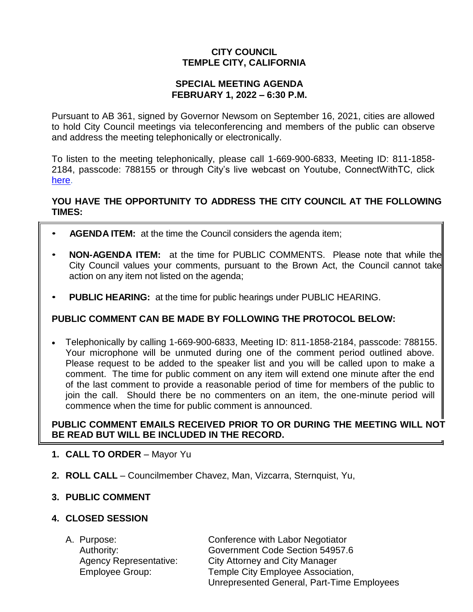# **CITY COUNCIL TEMPLE CITY, CALIFORNIA**

### **SPECIAL MEETING AGENDA FEBRUARY 1, 2022 – 6:30 P.M.**

Pursuant to AB 361, signed by Governor Newsom on September 16, 2021, cities are allowed to hold City Council meetings via teleconferencing and members of the public can observe and address the meeting telephonically or electronically.

To listen to the meeting telephonically, please call 1-669-900-6833, Meeting ID: 811-1858- 2184, passcode: 788155 or through City's live webcast on Youtube, ConnectWithTC, click [here.](https://www.ci.temple-city.ca.us/516/Meeting-Webcast)

## **YOU HAVE THE OPPORTUNITY TO ADDRESS THE CITY COUNCIL AT THE FOLLOWING TIMES:**

- **AGENDA ITEM:** at the time the Council considers the agenda item;
- **NON-AGENDA ITEM:** at the time for PUBLIC COMMENTS. Please note that while the City Council values your comments, pursuant to the Brown Act, the Council cannot take action on any item not listed on the agenda;
- **PUBLIC HEARING:** at the time for public hearings under PUBLIC HEARING.

## **PUBLIC COMMENT CAN BE MADE BY FOLLOWING THE PROTOCOL BELOW:**

 Telephonically by calling 1-669-900-6833, Meeting ID: 811-1858-2184, passcode: 788155. Your microphone will be unmuted during one of the comment period outlined above. Please request to be added to the speaker list and you will be called upon to make a comment. The time for public comment on any item will extend one minute after the end of the last comment to provide a reasonable period of time for members of the public to join the call. Should there be no commenters on an item, the one-minute period will commence when the time for public comment is announced.

## **PUBLIC COMMENT EMAILS RECEIVED PRIOR TO OR DURING THE MEETING WILL NOT BE READ BUT WILL BE INCLUDED IN THE RECORD.**

- **1. CALL TO ORDER**  Mayor Yu
- **2. ROLL CALL**  Councilmember Chavez, Man, Vizcarra, Sternquist, Yu,

## **3. PUBLIC COMMENT**

### **4. CLOSED SESSION**

|  | A. Purpose:                   | Conference with Labor Negotiator           |
|--|-------------------------------|--------------------------------------------|
|  | Authority:                    | Government Code Section 54957.6            |
|  | <b>Agency Representative:</b> | <b>City Attorney and City Manager</b>      |
|  | Employee Group:               | Temple City Employee Association,          |
|  |                               | Unrepresented General, Part-Time Employees |